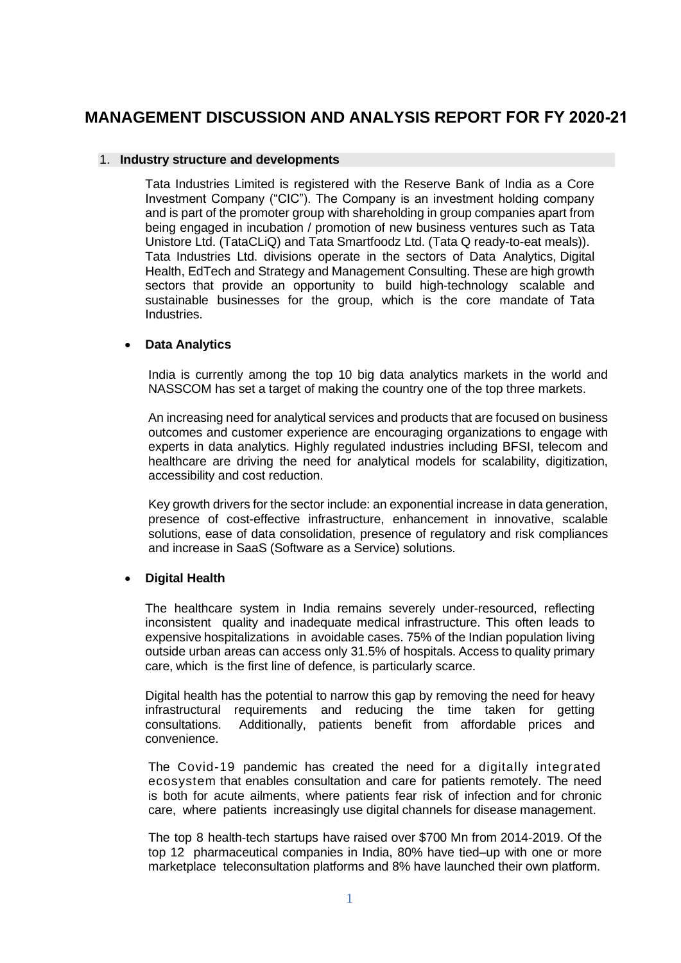# **MANAGEMENT DISCUSSION AND ANALYSIS REPORT FOR FY 2020-21**

#### 1. **Industry structure and developments**

Tata Industries Limited is registered with the Reserve Bank of India as a Core Investment Company ("CIC"). The Company is an investment holding company and is part of the promoter group with shareholding in group companies apart from being engaged in incubation / promotion of new business ventures such as Tata Unistore Ltd. (TataCLiQ) and Tata Smartfoodz Ltd. (Tata Q ready-to-eat meals)). Tata Industries Ltd. divisions operate in the sectors of Data Analytics, Digital Health, EdTech and Strategy and Management Consulting. These are high growth sectors that provide an opportunity to build high-technology scalable and sustainable businesses for the group, which is the core mandate of Tata Industries.

## • **Data Analytics**

India is currently among the top 10 big data analytics markets in the world and NASSCOM has set a target of making the country one of the top three markets.

An increasing need for analytical services and products that are focused on business outcomes and customer experience are encouraging organizations to engage with experts in data analytics. Highly regulated industries including BFSI, telecom and healthcare are driving the need for analytical models for scalability, digitization, accessibility and cost reduction.

Key growth drivers for the sector include: an exponential increase in data generation, presence of cost-effective infrastructure, enhancement in innovative, scalable solutions, ease of data consolidation, presence of regulatory and risk compliances and increase in SaaS (Software as a Service) solutions.

## • **Digital Health**

The healthcare system in India remains severely under-resourced, reflecting inconsistent quality and inadequate medical infrastructure. This often leads to expensive hospitalizations in avoidable cases. 75% of the Indian population living outside urban areas can access only 31.5% of hospitals. Access to quality primary care, which is the first line of defence, is particularly scarce.

Digital health has the potential to narrow this gap by removing the need for heavy infrastructural requirements and reducing the time taken for getting consultations. Additionally, patients benefit from affordable prices and convenience.

The Covid-19 pandemic has created the need for a digitally integrated ecosystem that enables consultation and care for patients remotely. The need is both for acute ailments, where patients fear risk of infection and for chronic care, where patients increasingly use digital channels for disease management.

The top 8 health-tech startups have raised over \$700 Mn from 2014-2019. Of the top 12 pharmaceutical companies in India, 80% have tied–up with one or more marketplace teleconsultation platforms and 8% have launched their own platform.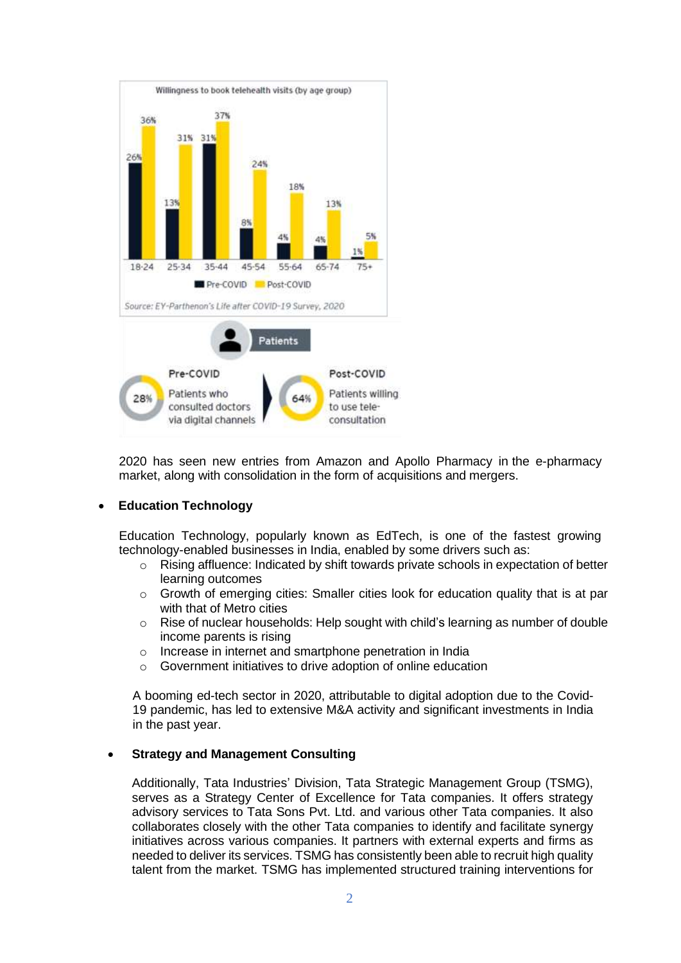

2020 has seen new entries from Amazon and Apollo Pharmacy in the e-pharmacy market, along with consolidation in the form of acquisitions and mergers.

## • **Education Technology**

Education Technology, popularly known as EdTech, is one of the fastest growing technology-enabled businesses in India, enabled by some drivers such as:

- o Rising affluence: Indicated by shift towards private schools in expectation of better learning outcomes
- o Growth of emerging cities: Smaller cities look for education quality that is at par with that of Metro cities
- $\circ$  Rise of nuclear households: Help sought with child's learning as number of double income parents is rising
- o Increase in internet and smartphone penetration in India
- o Government initiatives to drive adoption of online education

A booming ed-tech sector in 2020, attributable to digital adoption due to the Covid-19 pandemic, has led to extensive M&A activity and significant investments in India in the past year.

#### • **Strategy and Management Consulting**

Additionally, Tata Industries' Division, Tata Strategic Management Group (TSMG), serves as a Strategy Center of Excellence for Tata companies. It offers strategy advisory services to Tata Sons Pvt. Ltd. and various other Tata companies. It also collaborates closely with the other Tata companies to identify and facilitate synergy initiatives across various companies. It partners with external experts and firms as needed to deliver its services. TSMG has consistently been able to recruit high quality talent from the market. TSMG has implemented structured training interventions for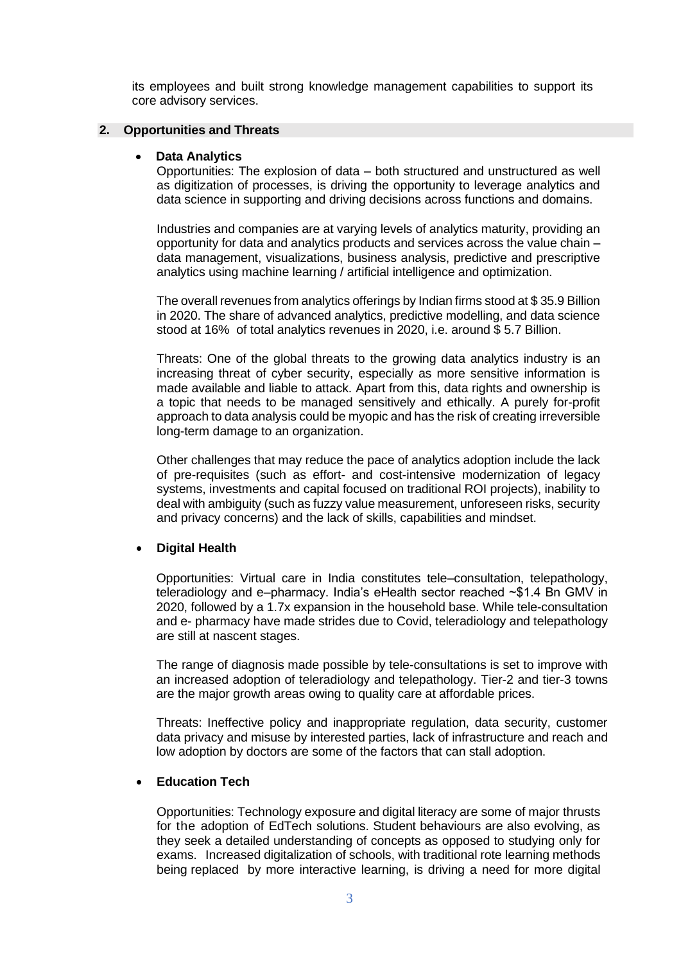its employees and built strong knowledge management capabilities to support its core advisory services.

#### **2. Opportunities and Threats**

## • **Data Analytics**

Opportunities: The explosion of data – both structured and unstructured as well as digitization of processes, is driving the opportunity to leverage analytics and data science in supporting and driving decisions across functions and domains.

Industries and companies are at varying levels of analytics maturity, providing an opportunity for data and analytics products and services across the value chain – data management, visualizations, business analysis, predictive and prescriptive analytics using machine learning / artificial intelligence and optimization.

The overall revenues from analytics offerings by Indian firms stood at \$ 35.9 Billion in 2020. The share of advanced analytics, predictive modelling, and data science stood at 16% of total analytics revenues in 2020, i.e. around \$ 5.7 Billion.

Threats: One of the global threats to the growing data analytics industry is an increasing threat of cyber security, especially as more sensitive information is made available and liable to attack. Apart from this, data rights and ownership is a topic that needs to be managed sensitively and ethically. A purely for-profit approach to data analysis could be myopic and has the risk of creating irreversible long-term damage to an organization.

Other challenges that may reduce the pace of analytics adoption include the lack of pre-requisites (such as effort- and cost-intensive modernization of legacy systems, investments and capital focused on traditional ROI projects), inability to deal with ambiguity (such as fuzzy value measurement, unforeseen risks, security and privacy concerns) and the lack of skills, capabilities and mindset.

## • **Digital Health**

Opportunities: Virtual care in India constitutes tele–consultation, telepathology, teleradiology and e–pharmacy. India's eHealth sector reached ~\$1.4 Bn GMV in 2020, followed by a 1.7x expansion in the household base. While tele-consultation and e- pharmacy have made strides due to Covid, teleradiology and telepathology are still at nascent stages.

The range of diagnosis made possible by tele-consultations is set to improve with an increased adoption of teleradiology and telepathology. Tier-2 and tier-3 towns are the major growth areas owing to quality care at affordable prices.

Threats: Ineffective policy and inappropriate regulation, data security, customer data privacy and misuse by interested parties, lack of infrastructure and reach and low adoption by doctors are some of the factors that can stall adoption.

## • **Education Tech**

Opportunities: Technology exposure and digital literacy are some of major thrusts for the adoption of EdTech solutions. Student behaviours are also evolving, as they seek a detailed understanding of concepts as opposed to studying only for exams. Increased digitalization of schools, with traditional rote learning methods being replaced by more interactive learning, is driving a need for more digital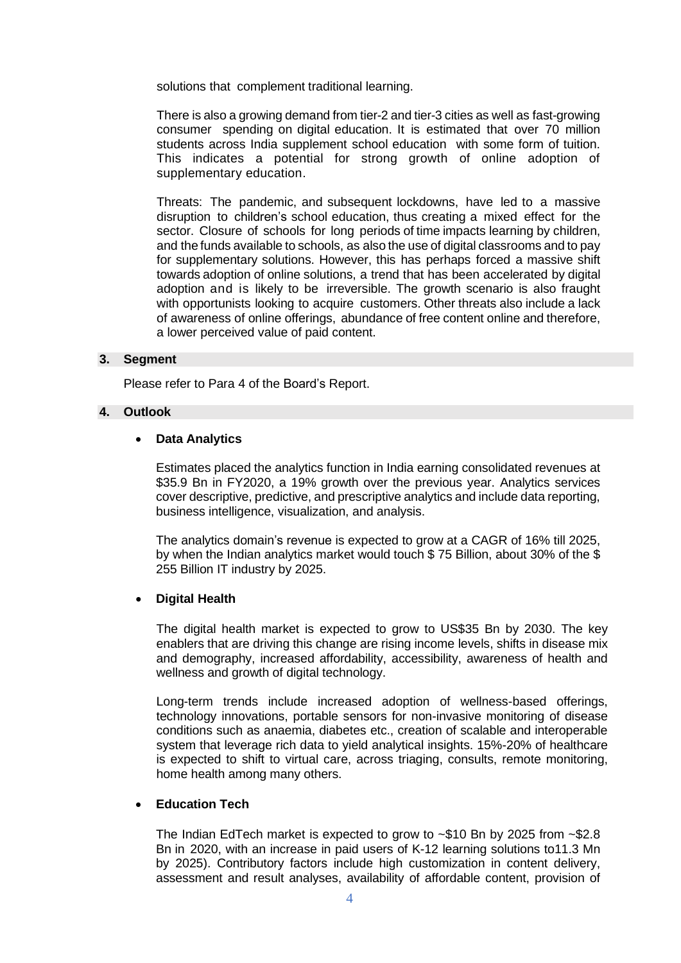solutions that complement traditional learning.

There is also a growing demand from tier-2 and tier-3 cities as well as fast-growing consumer spending on digital education. It is estimated that over 70 million students across India supplement school education with some form of tuition. This indicates a potential for strong growth of online adoption of supplementary education.

Threats: The pandemic, and subsequent lockdowns, have led to a massive disruption to children's school education, thus creating a mixed effect for the sector. Closure of schools for long periods of time impacts learning by children, and the funds available to schools, as also the use of digital classrooms and to pay for supplementary solutions. However, this has perhaps forced a massive shift towards adoption of online solutions, a trend that has been accelerated by digital adoption and is likely to be irreversible. The growth scenario is also fraught with opportunists looking to acquire customers. Other threats also include a lack of awareness of online offerings, abundance of free content online and therefore, a lower perceived value of paid content.

#### **3. Segment**

Please refer to Para 4 of the Board's Report.

#### **4. Outlook**

#### • **Data Analytics**

Estimates placed the analytics function in India earning consolidated revenues at \$35.9 Bn in FY2020, a 19% growth over the previous year. Analytics services cover descriptive, predictive, and prescriptive analytics and include data reporting, business intelligence, visualization, and analysis.

The analytics domain's revenue is expected to grow at a CAGR of 16% till 2025, by when the Indian analytics market would touch \$ 75 Billion, about 30% of the \$ 255 Billion IT industry by 2025.

#### • **Digital Health**

The digital health market is expected to grow to US\$35 Bn by 2030. The key enablers that are driving this change are rising income levels, shifts in disease mix and demography, increased affordability, accessibility, awareness of health and wellness and growth of digital technology.

Long-term trends include increased adoption of wellness-based offerings, technology innovations, portable sensors for non-invasive monitoring of disease conditions such as anaemia, diabetes etc., creation of scalable and interoperable system that leverage rich data to yield analytical insights. 15%-20% of healthcare is expected to shift to virtual care, across triaging, consults, remote monitoring, home health among many others.

#### • **Education Tech**

The Indian EdTech market is expected to grow to ~\$10 Bn by 2025 from ~\$2.8 Bn in 2020, with an increase in paid users of K-12 learning solutions to11.3 Mn by 2025). Contributory factors include high customization in content delivery, assessment and result analyses, availability of affordable content, provision of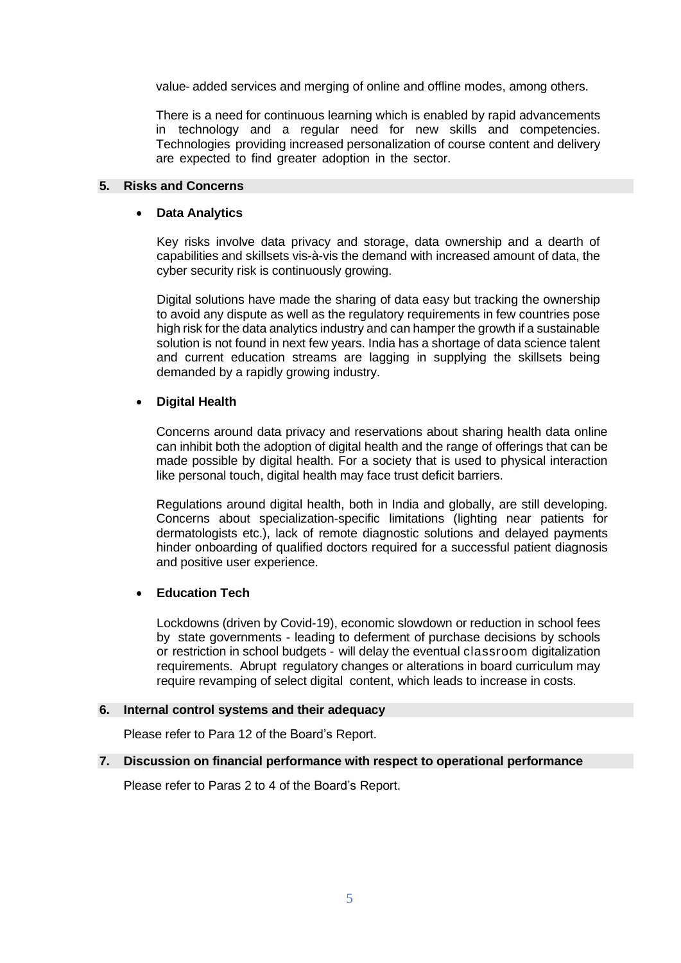value- added services and merging of online and offline modes, among others.

There is a need for continuous learning which is enabled by rapid advancements in technology and a regular need for new skills and competencies. Technologies providing increased personalization of course content and delivery are expected to find greater adoption in the sector.

## **5. Risks and Concerns**

## • **Data Analytics**

Key risks involve data privacy and storage, data ownership and a dearth of capabilities and skillsets vis-à-vis the demand with increased amount of data, the cyber security risk is continuously growing.

Digital solutions have made the sharing of data easy but tracking the ownership to avoid any dispute as well as the regulatory requirements in few countries pose high risk for the data analytics industry and can hamper the growth if a sustainable solution is not found in next few years. India has a shortage of data science talent and current education streams are lagging in supplying the skillsets being demanded by a rapidly growing industry.

## • **Digital Health**

Concerns around data privacy and reservations about sharing health data online can inhibit both the adoption of digital health and the range of offerings that can be made possible by digital health. For a society that is used to physical interaction like personal touch, digital health may face trust deficit barriers.

Regulations around digital health, both in India and globally, are still developing. Concerns about specialization-specific limitations (lighting near patients for dermatologists etc.), lack of remote diagnostic solutions and delayed payments hinder onboarding of qualified doctors required for a successful patient diagnosis and positive user experience.

## • **Education Tech**

Lockdowns (driven by Covid-19), economic slowdown or reduction in school fees by state governments - leading to deferment of purchase decisions by schools or restriction in school budgets - will delay the eventual classroom digitalization requirements. Abrupt regulatory changes or alterations in board curriculum may require revamping of select digital content, which leads to increase in costs.

#### **6. Internal control systems and their adequacy**

Please refer to Para 12 of the Board's Report.

## **7. Discussion on financial performance with respect to operational performance**

Please refer to Paras 2 to 4 of the Board's Report.